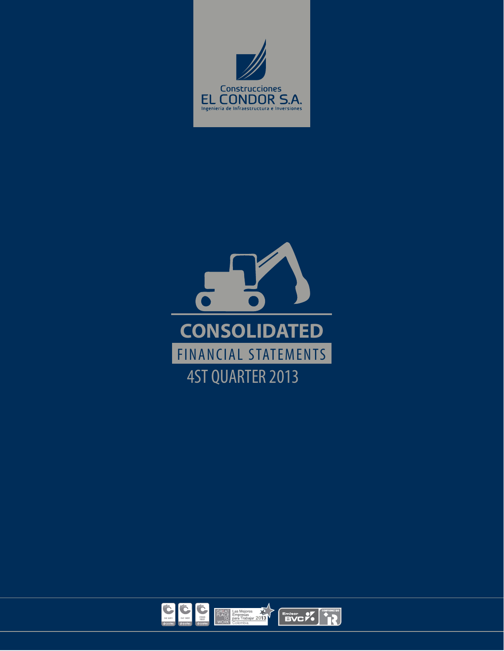



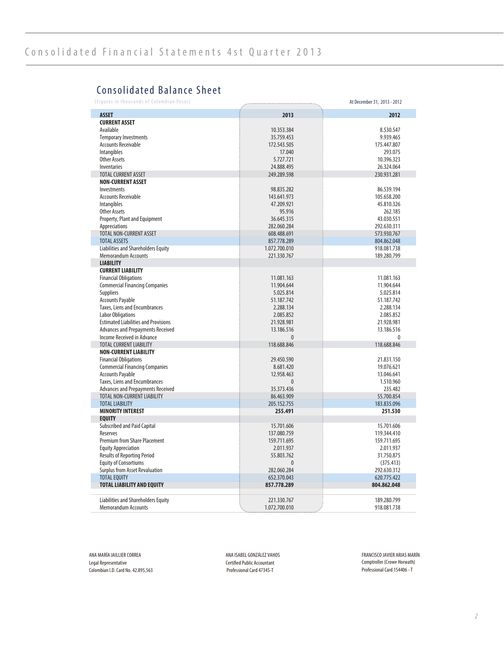## Consolidated Balance Sheet

(Figures in thousands of Colombian Pesos) At December 31, 2013 - 2012

|                                             |               | $n$ , becamped 31, 2013 |
|---------------------------------------------|---------------|-------------------------|
| <b>ASSET</b>                                | 2013          | 2012                    |
| <b>CURRENT ASSET</b>                        |               |                         |
| Available                                   | 10.353.384    | 8.530.547               |
| <b>Temporary Investments</b>                | 35.759.453    | 9.939.465               |
| <b>Accounts Receivable</b>                  | 172.543.505   | 175.447.807             |
| Intangibles                                 | 17.040        | 293.075                 |
| <b>Other Assets</b>                         | 5.727.721     | 10.396.323              |
|                                             | 24.888.495    | 26.324.064              |
| Inventaries<br><b>TOTAL CURRENT ASSET</b>   |               |                         |
|                                             | 249.289.598   | 230.931.281             |
| <b>NON-CURRENT ASSET</b>                    |               |                         |
| Investments                                 | 98.835.282    | 86.539.194              |
| <b>Accounts Receivable</b>                  | 143.641.973   | 105.658.200             |
| Intangibles                                 | 47.209.921    | 45.810.326              |
| <b>Other Assets</b>                         | 95.916        | 262.185                 |
| Property, Plant and Equipment               | 36.645.315    | 43.030.551              |
| Appreciations                               | 282.060.284   | 292.630.311             |
| <b>TOTAL NON-CURRENT ASSET</b>              | 608.488.691   | 573.930.767             |
| <b>TOTAL ASSETS</b>                         | 857.778.289   | 804.862.048             |
| Liabilities and Shareholders Equity         | 1.072.700.010 | 918.081.738             |
| <b>Memorandum Accounts</b>                  | 221.330.767   | 189.280.799             |
| <b>LIABILITY</b>                            |               |                         |
| <b>CURRENT LIABILITY</b>                    |               |                         |
| <b>Financial Obligations</b>                | 11.081.163    | 11.081.163              |
| <b>Commercial Financing Companies</b>       | 11.904.644    | 11.904.644              |
| Suppliers                                   | 5.025.814     | 5.025.814               |
| <b>Accounts Payable</b>                     | 51.187.742    | 51.187.742              |
| Taxes, Liens and Encumbrances               | 2.288.134     | 2.288.134               |
| <b>Labor Obligations</b>                    | 2.085.852     | 2.085.852               |
| <b>Estimated Liabilities and Provisions</b> | 21.928.981    | 21.928.981              |
| Advances and Prepayments Received           | 13.186.516    | 13.186.516              |
| Income Received in Advance                  | $\mathbf{0}$  | $\mathbf{0}$            |
| <b>TOTAL CURRENT LIABILITY</b>              | 118.688.846   | 118.688.846             |
| <b>NON-CURRENT LIABILITY</b>                |               |                         |
| <b>Financial Obligations</b>                | 29.450.590    | 21.831.150              |
| <b>Commercial Financing Companies</b>       | 8.681.420     | 19.076.621              |
| <b>Accounts Payable</b>                     | 12.958.463    | 13.046.641              |
| Taxes, Liens and Encumbrances               | 0             | 1.510.960               |
| Advances and Prepayments Received           | 35.373.436    | 235.482                 |
| TOTAL NON-CURRENT LIABILITY                 | 86.463.909    | 55.700.854              |
| <b>TOTAL LIABILITY</b>                      | 205.152.755   | 183.835.096             |
| <b>MINORITY INTEREST</b>                    | 255.491       | 251.530                 |
| <b>EQUITY</b>                               |               |                         |
| <b>Subscribed and Paid Capital</b>          | 15.701.606    | 15.701.606              |
| Reserves                                    | 137.080.759   | 119.344.410             |
| <b>Premium from Share Placement</b>         | 159.711.695   | 159.711.695             |
| <b>Equity Appreciation</b>                  | 2.011.937     | 2.011.937               |
| <b>Results of Reporting Period</b>          | 55.803.762    | 31.750.875              |
| <b>Equity of Consortiums</b>                | $\mathbf{0}$  | (375.413)               |
| <b>Surplus from Asset Revaluation</b>       | 282.060.284   | 292.630.312             |
| <b>TOTAL EQUITY</b>                         | 652.370.043   | 620.775.422             |
| <b>TOTAL LIABILITY AND EQUITY</b>           | 857.778.289   | 804.862.048             |
|                                             |               |                         |
| Liabilities and Shareholders Equity         | 221.330.767   | 189.280.799             |
| <b>Memorandum Accounts</b>                  | 1.072.700.010 | 918.081.738             |

ANA MARÍA JAILLIER CORREA Legal Representative Colombian I.D. Card No. 42.895.563

ANA ISABEL GONZÁLEZ VAHOS Certified Public Accountant Professional Card 47345-T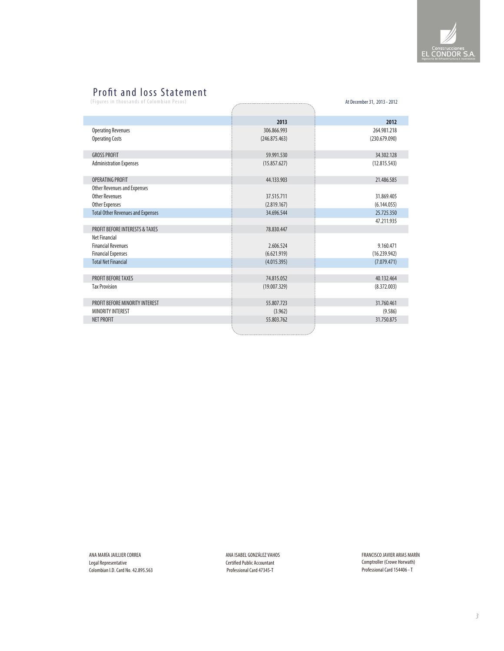

### Profit and loss Statement

(Figures in thousands of Colombian Pesos) At December 31, 2013 - 2012

|                                            | 2013          | 2012          |
|--------------------------------------------|---------------|---------------|
| <b>Operating Revenues</b>                  | 306.866.993   | 264.981.218   |
| <b>Operating Costs</b>                     | (246.875.463) | (230.679.090) |
| <b>GROSS PROFIT</b>                        | 59.991.530    | 34.302.128    |
| <b>Administration Expenses</b>             | (15.857.627)  | (12.815.543)  |
| OPFRATING PROFIT                           | 44.133.903    | 21.486.585    |
| Other Revenues and Expenses                |               |               |
| <b>Other Revenues</b>                      | 37.515.711    | 31.869.405    |
| Other Expenses                             | (2.819.167)   | (6.144.055)   |
| <b>Total Other Revenues and Expenses</b>   | 34.696.544    | 25.725.350    |
|                                            |               | 47.211.935    |
| <b>PROFIT BEFORE INTERESTS &amp; TAXES</b> | 78.830.447    |               |
| Net Financial                              |               |               |
| <b>Financial Revenues</b>                  | 2.606.524     | 9.160.471     |
| <b>Financial Expenses</b>                  | (6.621.919)   | (16.239.942)  |
| <b>Total Net Financial</b>                 | (4.015.395)   | (7.079.471)   |
|                                            |               |               |
| <b>PROFIT BEFORE TAXES</b>                 | 74.815.052    | 40.132.464    |
| <b>Tax Provision</b>                       | (19.007.329)  | (8.372.003)   |
| PROFIT BEFORE MINORITY INTEREST            | 55.807.723    | 31.760.461    |
| <b>MINORITY INTEREST</b>                   | (3.962)       | (9.586)       |
| <b>NET PROFIT</b>                          | 55.803.762    | 31.750.875    |
|                                            |               |               |

ANA MARÍA JAILLIER CORREA Legal Representative Colombian I.D. Card No. 42.895.563

ANA ISABEL GONZÁLEZ VAHOS Certified Public Accountant Professional Card 47345-T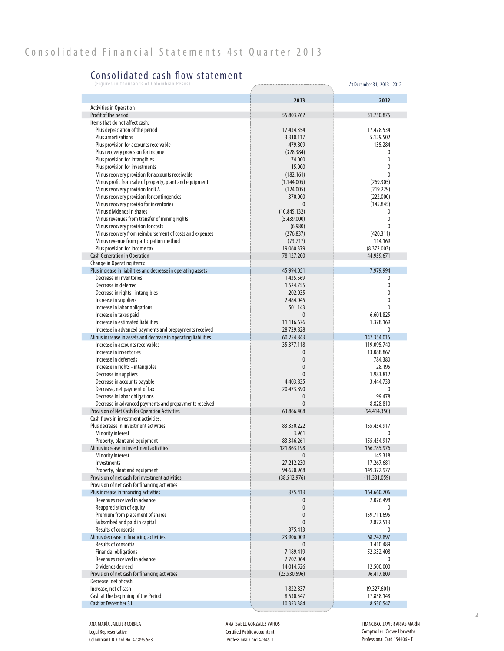### Consolidated cash flow statement

| (Figures in thousands of Colombian Pesos)                                          |                          | At December 31, 2013 - 2012 |
|------------------------------------------------------------------------------------|--------------------------|-----------------------------|
|                                                                                    | 2013                     | 2012                        |
| <b>Activities in Operation</b>                                                     |                          |                             |
| Profit of the period                                                               | 55.803.762               | 31.750.875                  |
| Items that do not affect cash:                                                     |                          |                             |
| Plus depreciation of the period                                                    | 17.434.354               | 17.478.534                  |
| Plus amortizations                                                                 | 3.310.117                | 5.129.502                   |
| Plus provision for accounts receivable                                             | 479.809                  | 135.284                     |
| Plus recovery provision for income                                                 | (328.384)                | 0                           |
| Plus provision for intangibles                                                     | 74.000                   | $\mathbf{0}$                |
| Plus provision for investments<br>Minus recovery provision for accounts receivable | 15.000                   | 0<br>$\mathbf{0}$           |
| Minus profit from sale of property, plant and equipment                            | (182.161)                | (269.305)                   |
| Minus recovery provision for ICA                                                   | (1.144.005)<br>(124.005) | (219.229)                   |
| Minus recovery provision for contingencies                                         | 370.000                  | (222.000)                   |
| Minus recovery provisio for inventories                                            | $\mathbf{0}$             | (145.845)                   |
| Minus dividends in shares                                                          | (10.845.132)             | 0                           |
| Minus revenues from transfer of mining rights                                      | (5.439.000)              | $\mathbf{0}$                |
| Minus recovery provision for costs                                                 | (6.980)                  | 0                           |
| Minus recovery from reimbursement of costs and expenses                            | (276.837)                | (420.311)                   |
| Minus revenue from participation method                                            | (73.717)                 | 114.169                     |
| Plus provision for income tax                                                      | 19.060.379               | (8.372.003)                 |
| <b>Cash Generation in Operation</b>                                                | 78.127.200               | 44.959.671                  |
| Change in Operating items:                                                         |                          |                             |
| Plus increase in liabilities and decrease in operating assets                      | 45.994.051               | 7.979.994                   |
| Decrease in inventories                                                            | 1.435.569                | 0                           |
| Decrease in deferred                                                               | 1.524.755                | 0                           |
| Decrease in rights - intangibles                                                   | 202.035                  | 0                           |
| Increase in suppliers                                                              | 2.484.045                | 0                           |
| Increase in labor obligations                                                      | 501.143                  | 0                           |
| Increase in taxes paid                                                             | $\mathbf{0}$             | 6.601.825                   |
| Increase in estimated liabilities                                                  | 11.116.676               | 1.378.169                   |
| Increase in advanced payments and prepayments received                             | 28.729.828               | 0                           |
| Minus increase in assets and decrease in operating liabilities                     | 60.254.843               | 147.354.015                 |
| Increase in accounts receivables                                                   | 35.377.118               | 119.095.740                 |
| Increase in inventories                                                            | $\mathbf{0}$             | 13.088.867                  |
| Increase in deferreds                                                              | $\mathbf{0}$             | 784.380                     |
| Increase in rights - intangibles                                                   | $\mathbf{0}$             | 28.195                      |
| Decrease in suppliers                                                              | 0                        | 1.983.812                   |
| Decrease in accounts payable<br>Decrease, net payment of tax                       | 4.403.835<br>20.473.890  | 3.444.733<br>0              |
| Decrease in labor obligations                                                      | $\mathbf{0}$             | 99.478                      |
| Decrease in advanced payments and prepayments received                             | $\mathbf{0}$             | 8.828.810                   |
| Provision of Net Cash for Operation Activities                                     | 63.866.408               | (94.414.350)                |
| Cash flows in investment activities:                                               |                          |                             |
| Plus decrease in investment activities                                             | 83.350.222               | 155.454.917                 |
| Minority interest                                                                  | 3.961                    | 0                           |
| Property, plant and equipment                                                      | 83.346.261               | 155.454.917                 |
| Minus increase in investment activities                                            | 121.863.198              | 166.785.976                 |
| Minority interest                                                                  | $\mathbf{0}$             | 145.318                     |
| Investments                                                                        | 27.212.230               | 17.267.681                  |
| Property, plant and equipment                                                      | 94.650.968               | 149.372.977                 |
| Provision of net cash for investment activities                                    | (38.512.976)             | (11.331.059)                |
| Provision of net cash for financing activities                                     |                          |                             |
| Plus increase in financing activities                                              | 375.413                  | 164.660.706                 |
| Revenues received in advance                                                       | 0                        | 2.076.498                   |
| Reappreciation of equity                                                           | $\mathbf{0}$             | 0                           |
| Premium from placement of shares                                                   | $\mathbf{0}$             | 159.711.695                 |
| Subscribed and paid in capital                                                     | 0                        | 2.872.513                   |
| Results of consortia                                                               | 375.413                  | 0                           |
| Minus decrease in financing activities                                             | 23.906.009               | 68.242.897                  |
| Results of consortia                                                               | $\mathbf{0}$             | 3.410.489                   |
| <b>Financial obligations</b>                                                       | 7.189.419                | 52.332.408                  |
|                                                                                    |                          | 0                           |
| Revenues received in advance                                                       | 2.702.064                |                             |
| Dividends decreed                                                                  | 14.014.526               | 12.500.000                  |
| Provision of net cash for financing activities                                     | (23.530.596)             | 96.417.809                  |
| Decrease, net of cash                                                              |                          |                             |
| Increase, net of cash<br>Cash at the beginning of the Period                       | 1.822.837<br>8.530.547   | (9.327.601)<br>17.858.148   |

ANA MARÍA JAILLIER CORREA Legal Representative Colombian I.D. Card No. 42.895.563 ANA ISABEL GONZÁLEZ VAHOS Certified Public Accountant Professional Card 47345-T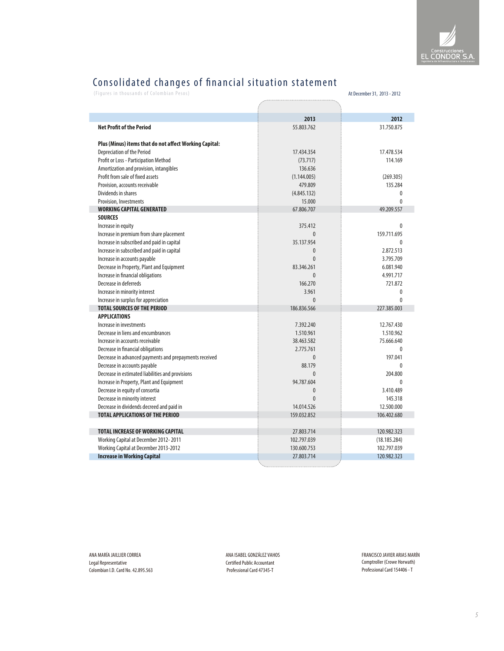# Consolidated changes of nancial situation statement

(Figures in thousands of Colombian Pesos) At December 31, 2013 - 2012

|                                                        | 2013         | 2012         |
|--------------------------------------------------------|--------------|--------------|
| <b>Net Profit of the Period</b>                        | 55.803.762   | 31.750.875   |
|                                                        |              |              |
| Plus (Minus) items that do not affect Working Capital: |              |              |
| <b>Depreciation of the Period</b>                      | 17.434.354   | 17.478.534   |
| Profit or Loss - Participation Method                  | (73.717)     | 114.169      |
| Amortization and provision, intangibles                | 136.636      |              |
| Profit from sale of fixed assets                       | (1.144.005)  | (269.305)    |
| Provision, accounts receivable                         | 479.809      | 135.284      |
| Dividends in shares                                    | (4.845.132)  | $\mathbf{0}$ |
| <b>Provision, Investments</b>                          | 15.000       | $\Omega$     |
| <b>WORKING CAPITAL GENERATED</b>                       | 67.806.707   | 49.209.557   |
| <b>SOURCES</b>                                         |              |              |
| Increase in equity                                     | 375.412      | $\Omega$     |
| Increase in premium from share placement               | $\Omega$     | 159.711.695  |
| Increase in subscribed and paid in capital             | 35.137.954   | $\Omega$     |
| Increase in subscribed and paid in capital             | $\mathbf{0}$ | 2.872.513    |
| Increase in accounts payable                           | $\Omega$     | 3.795.709    |
| Decrease in Property, Plant and Equipment              | 83.346.261   | 6.081.940    |
| Increase in financial obligations                      | $\Omega$     | 4.991.717    |
| Decrease in deferreds                                  | 166.270      | 721.872      |
| Increase in minority interest                          | 3.961        | $\mathbf{0}$ |
| Increase in surplus for appreciation                   | $\Omega$     | $\Omega$     |
| <b>TOTAL SOURCES OF THE PERIOD</b>                     | 186.836.566  | 227.385.003  |
| <b>APPLICATIONS</b>                                    |              |              |
| Increase in investments                                | 7.392.240    | 12.767.430   |
| Decrease in liens and encumbrances                     | 1.510.961    | 1.510.962    |
| Increase in accounts receivable                        | 38.463.582   | 75.666.640   |
| Decrease in financial obligations                      | 2.775.761    | $\mathbf{0}$ |
| Decrease in advanced payments and prepayments received | $\theta$     | 197.041      |
| Decrease in accounts payable                           | 88.179       | $\Omega$     |
| Decrease in estimated liabilities and provisions       | $\Omega$     | 204.800      |
| Increase in Property, Plant and Equipment              | 94.787.604   | $\Omega$     |
| Decrease in equity of consortia                        | $\Omega$     | 3.410.489    |
| Decrease in minority interest                          | $\theta$     | 145.318      |
| Decrease in dividends decreed and paid in              | 14.014.526   | 12.500.000   |
| <b>TOTAL APPLICATIONS OF THE PERIOD</b>                | 159.032.852  | 106.402.680  |
|                                                        |              |              |
| <b>TOTAL INCREASE OF WORKING CAPITAL</b>               | 27.803.714   | 120.982.323  |
| Working Capital at December 2012-2011                  | 102.797.039  | (18.185.284) |
| Working Capital at December 2013-2012                  | 130.600.753  | 102.797.039  |
| <b>Increase in Working Capital</b>                     | 27.803.714   | 120.982.323  |

ANA MARÍA JAILLIER CORREA Legal Representative Colombian I.D. Card No. 42.895.563 ANA ISABEL GONZÁLEZ VAHOS Certified Public Accountant Professional Card 47345-T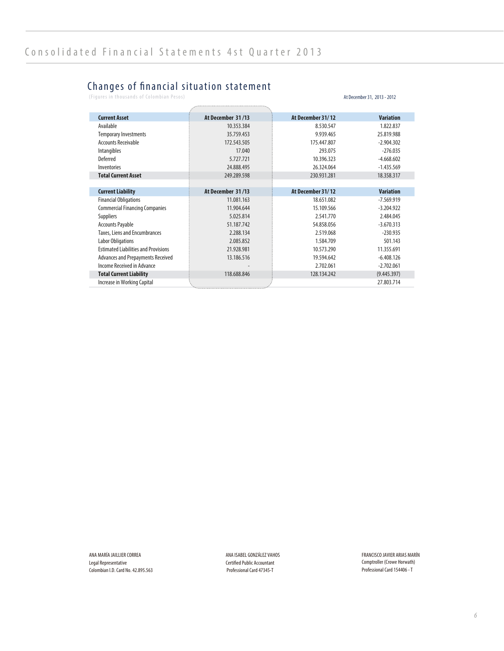#### Changes of nancial situation statement

(Figures in thousands of Colombian Pesos) At December 31, 2013 - 2012

| <b>Current Asset</b>                        | At December 31/13 | At December 31/12 | <b>Variation</b> |
|---------------------------------------------|-------------------|-------------------|------------------|
| Available                                   | 10.353.384        | 8.530.547         | 1.822.837        |
| <b>Temporary Investments</b>                | 35.759.453        | 9.939.465         | 25.819.988       |
| <b>Accounts Receivable</b>                  | 172.543.505       | 175.447.807       | $-2.904.302$     |
| Intangibles                                 | 17.040            | 293.075           | $-276.035$       |
| Deferred                                    | 5.727.721         | 10.396.323        | $-4.668.602$     |
| Inventories                                 | 24.888.495        | 26.324.064        | $-1.435.569$     |
| <b>Total Current Asset</b>                  | 249.289.598       | 230.931.281       | 18.358.317       |
|                                             |                   |                   |                  |
| <b>Current Liability</b>                    | At December 31/13 | At December 31/12 | <b>Variation</b> |
| <b>Financial Obligations</b>                | 11.081.163        | 18.651.082        | $-7.569.919$     |
| <b>Commercial Financing Companies</b>       | 11.904.644        | 15.109.566        | $-3.204.922$     |
| <b>Suppliers</b>                            | 5.025.814         | 2.541.770         | 2.484.045        |
| <b>Accounts Payable</b>                     | 51.187.742        | 54.858.056        | $-3.670.313$     |
| Taxes, Liens and Encumbrances               | 2.288.134         | 2.519.068         | $-230.935$       |
| <b>Labor Obligations</b>                    | 2.085.852         | 1.584.709         | 501.143          |
| <b>Estimated Liabilities and Provisions</b> | 21.928.981        | 10.573.290        | 11.355.691       |
| Advances and Prepayments Received           | 13.186.516        | 19.594.642        | $-6.408.126$     |
| Income Received in Advance                  |                   | 2.702.061         | $-2.702.061$     |
| <b>Total Current Liability</b>              | 118.688.846       | 128.134.242       | (9.445.397)      |
| Increase in Working Capital                 |                   |                   | 27.803.714       |

ANA MARÍA JAILLIER CORREA Legal Representative Colombian I.D. Card No. 42.895.563 ANA ISABEL GONZÁLEZ VAHOS Certified Public Accountant Professional Card 47345-T